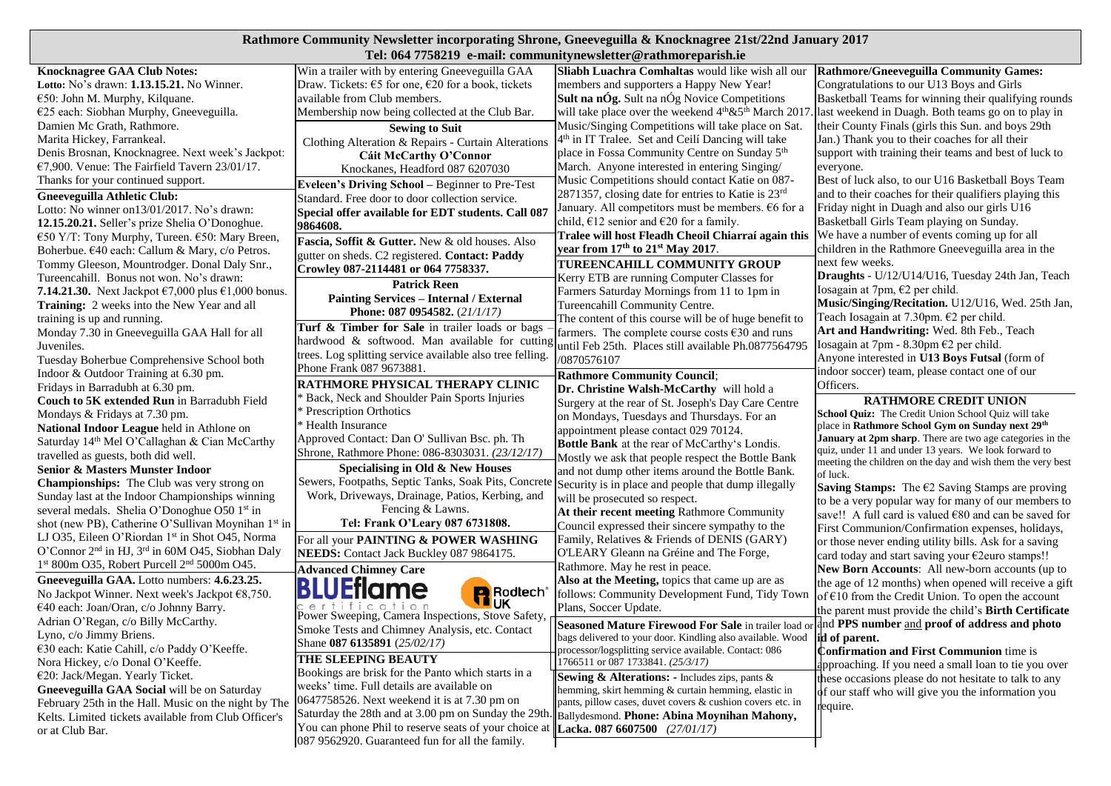## **Rathmore Community Newsletter incorporating Shrone, Gneeveguilla & Knocknagree 21st/22nd January 2017 Tel: 064 7758219 e-mail: communitynewsletter@rathmoreparish.ie**

|                                                                                                              |                                                                                                          | Tel: 004 //58219 e-mail: communitynewsletter @rathmoreparish.le                                                    |                                                                                                               |
|--------------------------------------------------------------------------------------------------------------|----------------------------------------------------------------------------------------------------------|--------------------------------------------------------------------------------------------------------------------|---------------------------------------------------------------------------------------------------------------|
| <b>Knocknagree GAA Club Notes:</b>                                                                           | Win a trailer with by entering Gneeveguilla GAA                                                          | Sliabh Luachra Comhaltas would like wish all our                                                                   | Rathmore/Gneeveguilla Community Games:                                                                        |
| Lotto: No's drawn: 1.13.15.21. No Winner.                                                                    | Draw. Tickets: €5 for one, €20 for a book, tickets                                                       | members and supporters a Happy New Year!                                                                           | Congratulations to our U13 Boys and Girls                                                                     |
| €50: John M. Murphy, Kilquane.                                                                               | available from Club members.                                                                             | <b>Sult na nÓg.</b> Sult na nÓg Novice Competitions                                                                | Basketball Teams for winning their qualifying rounds                                                          |
| €25 each: Siobhan Murphy, Gneeveguilla.                                                                      | Membership now being collected at the Club Bar.                                                          | will take place over the weekend 4 <sup>th</sup> &5 <sup>th</sup> March 2017                                       | last weekend in Duagh. Both teams go on to play in                                                            |
| Damien Mc Grath, Rathmore.                                                                                   | <b>Sewing to Suit</b>                                                                                    | Music/Singing Competitions will take place on Sat.                                                                 | their County Finals (girls this Sun. and boys 29th                                                            |
| Marita Hickey, Farrankeal.                                                                                   | Clothing Alteration & Repairs - Curtain Alterations                                                      | 4 <sup>th</sup> in IT Tralee. Set and Ceilí Dancing will take                                                      | Jan.) Thank you to their coaches for all their                                                                |
| Denis Brosnan, Knocknagree. Next week's Jackpot:                                                             | Cáit McCarthy O'Connor                                                                                   | place in Fossa Community Centre on Sunday 5 <sup>th</sup>                                                          | support with training their teams and best of luck to                                                         |
| €7,900. Venue: The Fairfield Tavern $23/01/17$ .                                                             | Knockanes, Headford 087 6207030                                                                          | March. Anyone interested in entering Singing/                                                                      | everyone.                                                                                                     |
| Thanks for your continued support.                                                                           | Eveleen's Driving School - Beginner to Pre-Test                                                          | Music Competitions should contact Katie on 087-                                                                    | Best of luck also, to our U16 Basketball Boys Team                                                            |
| <b>Gneeveguilla Athletic Club:</b>                                                                           | Standard. Free door to door collection service.                                                          | 2871357, closing date for entries to Katie is 23rd                                                                 | and to their coaches for their qualifiers playing this                                                        |
| Lotto: No winner on13/01/2017. No's drawn:                                                                   | Special offer available for EDT students. Call 087                                                       | January. All competitors must be members. €6 for a                                                                 | Friday night in Duagh and also our girls U16                                                                  |
| 12.15.20.21. Seller's prize Shelia O'Donoghue.                                                               | 9864608.                                                                                                 | child, $\epsilon$ 12 senior and $\epsilon$ 20 for a family.                                                        | Basketball Girls Team playing on Sunday.                                                                      |
| €50 Y/T: Tony Murphy, Tureen. €50: Mary Breen,                                                               | Fascia, Soffit & Gutter. New & old houses. Also                                                          | Tralee will host Fleadh Cheoil Chiarraí again this                                                                 | We have a number of events coming up for all                                                                  |
| Boherbue. €40 each: Callum & Mary, c/o Petros.                                                               | gutter on sheds. C2 registered. Contact: Paddy                                                           | year from 17th to 21 <sup>st</sup> May 2017.                                                                       | children in the Rathmore Gneeveguilla area in the                                                             |
| Tommy Gleeson, Mountrodger. Donal Daly Snr.,                                                                 | Crowley 087-2114481 or 064 7758337.                                                                      | TUREENCAHILL COMMUNITY GROUP                                                                                       | next few weeks.                                                                                               |
| Tureencahill. Bonus not won. No's drawn:                                                                     | <b>Patrick Reen</b>                                                                                      | Kerry ETB are running Computer Classes for                                                                         | Draughts - U/12/U14/U16, Tuesday 24th Jan, Teach                                                              |
| 7.14.21.30. Next Jackpot €7,000 plus €1,000 bonus.                                                           | <b>Painting Services - Internal / External</b>                                                           | Farmers Saturday Mornings from 11 to 1pm in                                                                        | Iosagain at 7pm, $E2$ per child.                                                                              |
| <b>Training:</b> 2 weeks into the New Year and all                                                           | Phone: 087 0954582. (21/1/17)                                                                            | Tureencahill Community Centre.                                                                                     | Music/Singing/Recitation. U12/U16, Wed. 25th Jan,                                                             |
| training is up and running.                                                                                  |                                                                                                          | The content of this course will be of huge benefit to                                                              | Teach Iosagain at 7.30pm. €2 per child.                                                                       |
| Monday 7.30 in Gneeveguilla GAA Hall for all                                                                 | Turf & Timber for Sale in trailer loads or bags                                                          | farmers. The complete course costs $\epsilon$ 30 and runs                                                          | Art and Handwriting: Wed. 8th Feb., Teach                                                                     |
| Juveniles.                                                                                                   |                                                                                                          | hardwood & softwood. Man available for cutting until Feb 25th. Places still available Ph.0877564795                | Iosagain at 7pm - 8.30pm $E2$ per child.                                                                      |
| Tuesday Boherbue Comprehensive School both                                                                   | trees. Log splitting service available also tree felling.                                                | /0870576107                                                                                                        | Anyone interested in U13 Boys Futsal (form of                                                                 |
| Indoor & Outdoor Training at 6.30 pm.                                                                        | Phone Frank 087 9673881.                                                                                 | <b>Rathmore Community Council;</b>                                                                                 | indoor soccer) team, please contact one of our                                                                |
| Fridays in Barradubh at 6.30 pm.                                                                             | <b>RATHMORE PHYSICAL THERAPY CLINIC</b>                                                                  | Dr. Christine Walsh-McCarthy will hold a                                                                           | Officers.                                                                                                     |
| Couch to 5K extended Run in Barradubh Field                                                                  | <b>Back, Neck and Shoulder Pain Sports Injuries</b>                                                      | Surgery at the rear of St. Joseph's Day Care Centre                                                                | <b>RATHMORE CREDIT UNION</b>                                                                                  |
| Mondays & Fridays at 7.30 pm.                                                                                | <b>Prescription Orthotics</b>                                                                            | on Mondays, Tuesdays and Thursdays. For an                                                                         | School Quiz: The Credit Union School Quiz will take                                                           |
| National Indoor League held in Athlone on                                                                    | <sup>*</sup> Health Insurance                                                                            | appointment please contact 029 70124.                                                                              | place in Rathmore School Gym on Sunday next 29th<br>January at 2pm sharp. There are two age categories in the |
| Saturday 14 <sup>th</sup> Mel O'Callaghan & Cian McCarthy                                                    | Approved Contact: Dan O' Sullivan Bsc. ph. Th                                                            | <b>Bottle Bank</b> at the rear of McCarthy's Londis.                                                               | quiz, under 11 and under 13 years. We look forward to                                                         |
| travelled as guests, both did well.                                                                          | Shrone, Rathmore Phone: 086-8303031. (23/12/17)                                                          | Mostly we ask that people respect the Bottle Bank                                                                  | meeting the children on the day and wish them the very best                                                   |
| Senior & Masters Munster Indoor                                                                              | Specialising in Old & New Houses                                                                         | and not dump other items around the Bottle Bank.                                                                   | of luck.                                                                                                      |
| <b>Championships:</b> The Club was very strong on                                                            | Sewers, Footpaths, Septic Tanks, Soak Pits, Concrete Security is in place and people that dump illegally |                                                                                                                    | Saving Stamps: The $E2$ Saving Stamps are proving                                                             |
| Sunday last at the Indoor Championships winning                                                              | Work, Driveways, Drainage, Patios, Kerbing, and                                                          | will be prosecuted so respect.                                                                                     | to be a very popular way for many of our members to                                                           |
| several medals. Shelia O'Donoghue O50 1 <sup>st</sup> in                                                     | Fencing & Lawns.                                                                                         | At their recent meeting Rathmore Community                                                                         | save!! A full card is valued €80 and can be saved for                                                         |
| shot (new PB), Catherine O'Sullivan Moynihan 1st in                                                          | Tel: Frank O'Leary 087 6731808.                                                                          | Council expressed their sincere sympathy to the                                                                    | First Communion/Confirmation expenses, holidays,                                                              |
| LJ O35, Eileen O'Riordan 1st in Shot O45, Norma                                                              | For all your PAINTING & POWER WASHING                                                                    | Family, Relatives & Friends of DENIS (GARY)                                                                        | or those never ending utility bills. Ask for a saving                                                         |
| O'Connor 2 <sup>nd</sup> in HJ, 3 <sup>rd</sup> in 60M O45, Siobhan Daly                                     | NEEDS: Contact Jack Buckley 087 9864175.                                                                 | O'LEARY Gleann na Gréine and The Forge,                                                                            | card today and start saving your €2euro stamps!!                                                              |
| $1st 800m O35$ , Robert Purcell $2nd 5000m O45$ .                                                            | <b>Advanced Chimney Care</b>                                                                             | Rathmore. May he rest in peace.                                                                                    | New Born Accounts: All new-born accounts (up to                                                               |
| Gneeveguilla GAA. Lotto numbers: 4.6.23.25.                                                                  | <b>.UEflame</b><br>BL                                                                                    | Also at the Meeting, topics that came up are as                                                                    | the age of 12 months) when opened will receive a gift                                                         |
| No Jackpot Winner. Next week's Jackpot $\epsilon$ 8,750.                                                     | <b>R</b> Rodlech <sup>®</sup><br><b>IUK</b><br>certification                                             | follows: Community Development Fund, Tidy Town                                                                     | of €10 from the Credit Union. To open the account                                                             |
| €40 each: Joan/Oran, c/o Johnny Barry.                                                                       | Power Sweeping, Camera Inspections, Stove Safety,                                                        | Plans, Soccer Update.                                                                                              | the parent must provide the child's Birth Certificate                                                         |
| Adrian O'Regan, c/o Billy McCarthy.                                                                          | Smoke Tests and Chimney Analysis, etc. Contact                                                           | Seasoned Mature Firewood For Sale in trailer load or                                                               | and PPS number and proof of address and photo                                                                 |
| Lyno, c/o Jimmy Briens.                                                                                      | Shane 087 6135891 (25/02/17)                                                                             | bags delivered to your door. Kindling also available. Wood                                                         | <b>id of parent.</b>                                                                                          |
| €30 each: Katie Cahill, c/o Paddy O'Keeffe.                                                                  | THE SLEEPING BEAUTY                                                                                      | processor/logsplitting service available. Contact: 086                                                             | <b>Confirmation and First Communion time is</b>                                                               |
| Nora Hickey, c/o Donal O'Keeffe.                                                                             | Bookings are brisk for the Panto which starts in a                                                       | 1766511 or 087 1733841. (25/3/17)                                                                                  | approaching. If you need a small loan to tie you over                                                         |
| €20: Jack/Megan. Yearly Ticket.                                                                              | weeks' time. Full details are available on                                                               | <b>Sewing &amp; Alterations:</b> - Includes zips, pants $\&$                                                       | these occasions please do not hesitate to talk to any                                                         |
| Gneeveguilla GAA Social will be on Saturday                                                                  | 0647758526. Next weekend it is at 7.30 pm on                                                             | hemming, skirt hemming & curtain hemming, elastic in<br>pants, pillow cases, duvet covers & cushion covers etc. in | of our staff who will give you the information you                                                            |
| February 25th in the Hall. Music on the night by The<br>Kelts. Limited tickets available from Club Officer's | Saturday the 28th and at 3.00 pm on Sunday the 29th. Ballydesmond. Phone: Abina Moynihan Mahony,         |                                                                                                                    | require.                                                                                                      |
| or at Club Bar.                                                                                              | You can phone Phil to reserve seats of your choice at Lacka. 087 6607500 $(27/01/17)$                    |                                                                                                                    |                                                                                                               |
|                                                                                                              | 087 9562920. Guaranteed fun for all the family.                                                          |                                                                                                                    |                                                                                                               |
|                                                                                                              |                                                                                                          |                                                                                                                    |                                                                                                               |